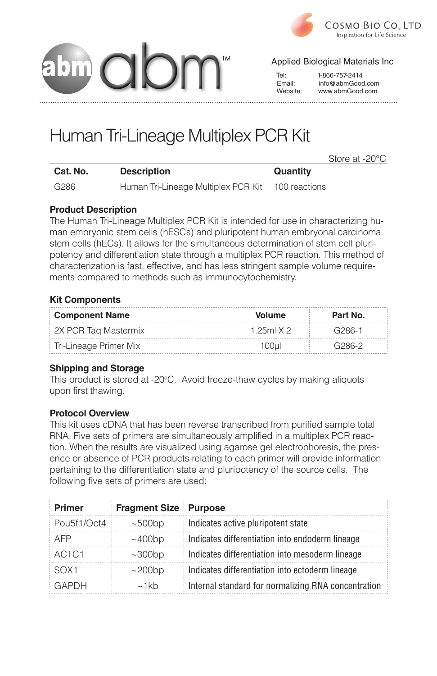

#### Applied Biological Materials Inc

Tel: 1-866-757-2414<br>
Email: info@abmGood Email: info@abmGood.com<br>Website: www.abmGood.com www.abmGood.com

## 

# Human Tri-Lineage Multiplex PCR Kit

Store at -20°C

| Cat. No. | <b>Description</b>                  | Quantity      |
|----------|-------------------------------------|---------------|
| G286     | Human Tri-Lineage Multiplex PCR Kit | 100 reactions |

#### **Product Description**

The Human Tri-Lineage Multiplex PCR Kit is intended for use in characterizing human embryonic stem cells (hESCs) and pluripotent human embryonal carcinoma stem cells (hECs). It allows for the simultaneous determination of stem cell pluripotency and differentiation state through a multiplex PCR reaction. This method of characterization is fast, effective, and has less stringent sample volume requirements compared to methods such as immunocytochemistry.

#### **Kit Components**

| <b>Component Name</b>  | Volume     | Part No. |
|------------------------|------------|----------|
| 2X PCR Tag Mastermix   | 1 25ml X 2 | G286-1   |
| Tri-Lineage Primer Mix | 100ul      | G286-2   |

#### **Shipping and Storage**

This product is stored at -20°C. Avoid freeze-thaw cycles by making aliquots upon first thawing.

#### **Protocol Overview**

This kit uses cDNA that has been reverse transcribed from purified sample total RNA. Five sets of primers are simultaneously amplified in a multiplex PCR reaction. When the results are visualized using agarose gel electrophoresis, the presence or absence of PCR products relating to each primer will provide information pertaining to the differentiation state and pluripotency of the source cells. The following five sets of primers are used:

| <b>Primer</b>     | <b>Fragment Size</b> | <b>Purpose</b>                                      |
|-------------------|----------------------|-----------------------------------------------------|
| Pou5f1/Oct4       | $\sim 500$ bp        | Indicates active pluripotent state                  |
| <b>AFP</b>        | ~100bp               | Indicates differentiation into endoderm lineage     |
| ACTC <sub>1</sub> | $\sim$ 300bp         | Indicates differentiation into mesoderm lineage     |
| SOX <sub>1</sub>  | $\sim$ 200bp         | Indicates differentiation into ectoderm lineage     |
| <b>GAPDH</b>      | $~1$ kh              | Internal standard for normalizing RNA concentration |